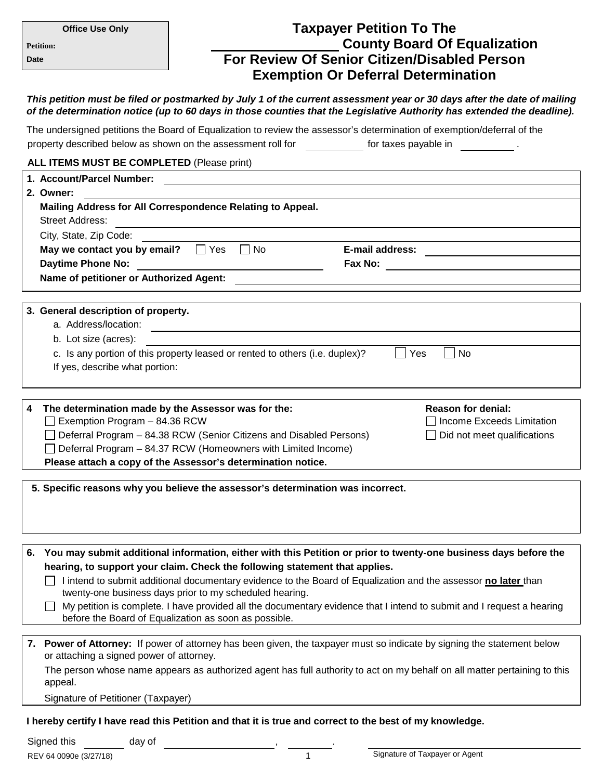| <b>Office Use Only</b>                                                                                                                                                                                                                             | <b>Taxpayer Petition To The</b>                                                                                       |
|----------------------------------------------------------------------------------------------------------------------------------------------------------------------------------------------------------------------------------------------------|-----------------------------------------------------------------------------------------------------------------------|
| <b>Petition:</b>                                                                                                                                                                                                                                   | <b>County Board Of Equalization</b>                                                                                   |
| Date                                                                                                                                                                                                                                               | <b>For Review Of Senior Citizen/Disabled Person</b>                                                                   |
|                                                                                                                                                                                                                                                    | <b>Exemption Or Deferral Determination</b>                                                                            |
| This petition must be filed or postmarked by July 1 of the current assessment year or 30 days after the date of mailing<br>of the determination notice (up to 60 days in those counties that the Legislative Authority has extended the deadline). |                                                                                                                       |
| The undersigned petitions the Board of Equalization to review the assessor's determination of exemption/deferral of the                                                                                                                            |                                                                                                                       |
| property described below as shown on the assessment roll for ____________ for taxes payable in ____________.                                                                                                                                       |                                                                                                                       |
| ALL ITEMS MUST BE COMPLETED (Please print)                                                                                                                                                                                                         |                                                                                                                       |
| 1. Account/Parcel Number:                                                                                                                                                                                                                          |                                                                                                                       |
| 2. Owner:                                                                                                                                                                                                                                          |                                                                                                                       |
| Mailing Address for All Correspondence Relating to Appeal.<br><b>Street Address:</b><br><u> 1989 - Johann Barn, amerikansk politiker (d. 1989)</u>                                                                                                 |                                                                                                                       |
| City, State, Zip Code:                                                                                                                                                                                                                             |                                                                                                                       |
| May we contact you by email? $\Box$ Yes                                                                                                                                                                                                            | $\Box$ No<br><b>E-mail address:</b><br><u> 1980 - Johann Stein, fransk politik (</u>                                  |
|                                                                                                                                                                                                                                                    |                                                                                                                       |
|                                                                                                                                                                                                                                                    |                                                                                                                       |
|                                                                                                                                                                                                                                                    |                                                                                                                       |
| 3. General description of property.<br>a. Address/location:                                                                                                                                                                                        |                                                                                                                       |
| b. Lot size (acres):                                                                                                                                                                                                                               | <u> 1980 - Jan Samuel Barbara, margaret e populari e populari e populari e populari e populari e populari e popu</u>  |
|                                                                                                                                                                                                                                                    | c. Is any portion of this property leased or rented to others (i.e. duplex)?<br>Yes<br>No                             |
| If yes, describe what portion:                                                                                                                                                                                                                     |                                                                                                                       |
|                                                                                                                                                                                                                                                    |                                                                                                                       |
|                                                                                                                                                                                                                                                    |                                                                                                                       |
| 4<br>The determination made by the Assessor was for the:<br>Exemption Program - 84.36 RCW                                                                                                                                                          | <b>Reason for denial:</b><br>Income Exceeds Limitation                                                                |
|                                                                                                                                                                                                                                                    | $\Box$ Deferral Program $-$ 84.38 RCW (Senior Citizens and Disabled Persons)<br>$\Box$ Did not meet qualifications    |
| Deferral Program - 84.37 RCW (Homeowners with Limited Income)                                                                                                                                                                                      |                                                                                                                       |
| Please attach a copy of the Assessor's determination notice.                                                                                                                                                                                       |                                                                                                                       |
| 5. Specific reasons why you believe the assessor's determination was incorrect.                                                                                                                                                                    |                                                                                                                       |
|                                                                                                                                                                                                                                                    |                                                                                                                       |
|                                                                                                                                                                                                                                                    |                                                                                                                       |
|                                                                                                                                                                                                                                                    |                                                                                                                       |
| 6.                                                                                                                                                                                                                                                 | You may submit additional information, either with this Petition or prior to twenty-one business days before the      |
|                                                                                                                                                                                                                                                    | hearing, to support your claim. Check the following statement that applies.                                           |
| I intend to submit additional documentary evidence to the Board of Equalization and the assessor no later than<br>twenty-one business days prior to my scheduled hearing.                                                                          |                                                                                                                       |
|                                                                                                                                                                                                                                                    | My petition is complete. I have provided all the documentary evidence that I intend to submit and I request a hearing |
| before the Board of Equalization as soon as possible.                                                                                                                                                                                              |                                                                                                                       |
| 7. Power of Attorney: If power of attorney has been given, the taxpayer must so indicate by signing the statement below<br>or attaching a signed power of attorney.                                                                                |                                                                                                                       |
| The person whose name appears as authorized agent has full authority to act on my behalf on all matter pertaining to this<br>appeal.                                                                                                               |                                                                                                                       |
| Signature of Petitioner (Taxpayer)                                                                                                                                                                                                                 |                                                                                                                       |
| I hereby certify I have read this Petition and that it is true and correct to the best of my knowledge.                                                                                                                                            |                                                                                                                       |
|                                                                                                                                                                                                                                                    |                                                                                                                       |